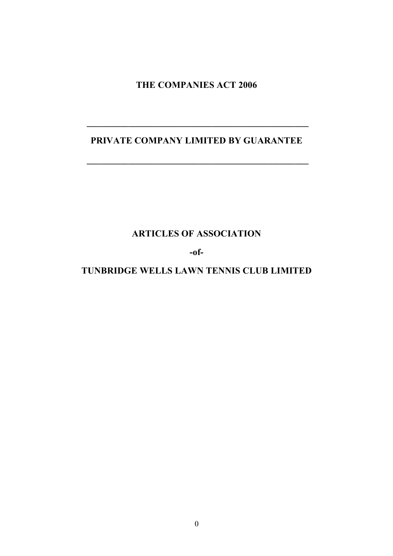**THE COMPANIES ACT 2006**

# **PRIVATE COMPANY LIMITED BY GUARANTEE**

**\_\_\_\_\_\_\_\_\_\_\_\_\_\_\_\_\_\_\_\_\_\_\_\_\_\_\_\_\_\_\_\_\_\_\_\_\_\_\_\_\_\_\_\_\_\_\_\_**

**\_\_\_\_\_\_\_\_\_\_\_\_\_\_\_\_\_\_\_\_\_\_\_\_\_\_\_\_\_\_\_\_\_\_\_\_\_\_\_\_\_\_\_\_\_\_\_\_**

**ARTICLES OF ASSOCIATION**

**-of-**

# **TUNBRIDGE WELLS LAWN TENNIS CLUB LIMITED**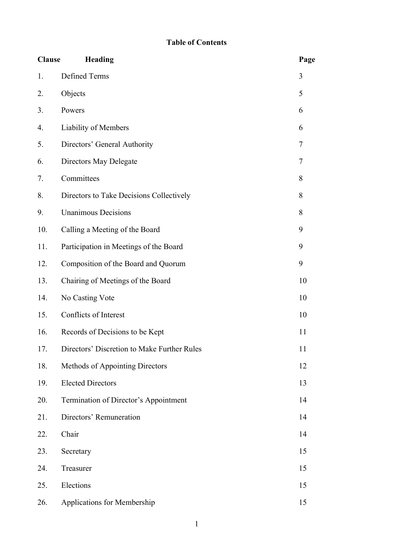# **Table of Contents**

| <b>Clause</b> | Heading                                     | Page |
|---------------|---------------------------------------------|------|
| 1.            | Defined Terms                               | 3    |
| 2.            | Objects                                     | 5    |
| 3.            | Powers                                      | 6    |
| 4.            | Liability of Members                        | 6    |
| 5.            | Directors' General Authority                | 7    |
| 6.            | Directors May Delegate                      | 7    |
| 7.            | Committees                                  | 8    |
| 8.            | Directors to Take Decisions Collectively    | 8    |
| 9.            | <b>Unanimous Decisions</b>                  | 8    |
| 10.           | Calling a Meeting of the Board              | 9    |
| 11.           | Participation in Meetings of the Board      | 9    |
| 12.           | Composition of the Board and Quorum         | 9    |
| 13.           | Chairing of Meetings of the Board           | 10   |
| 14.           | No Casting Vote                             | 10   |
| 15.           | Conflicts of Interest                       | 10   |
| 16.           | Records of Decisions to be Kept             | 11   |
| 17.           | Directors' Discretion to Make Further Rules | 11   |
| 18.           | Methods of Appointing Directors             | 12   |
| 19.           | <b>Elected Directors</b>                    | 13   |
| 20.           | Termination of Director's Appointment       | 14   |
| 21.           | Directors' Remuneration                     | 14   |
| 22.           | Chair                                       | 14   |
| 23.           | Secretary                                   | 15   |
| 24.           | Treasurer                                   | 15   |
| 25.           | Elections                                   | 15   |
| 26.           | Applications for Membership                 | 15   |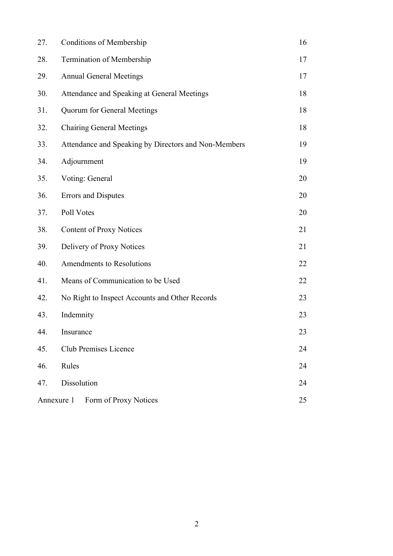| 27. | <b>Conditions of Membership</b>                      | 16 |
|-----|------------------------------------------------------|----|
| 28. | Termination of Membership                            | 17 |
| 29. | <b>Annual General Meetings</b>                       | 17 |
| 30. | Attendance and Speaking at General Meetings          | 18 |
| 31. | Quorum for General Meetings                          | 18 |
| 32. | <b>Chairing General Meetings</b>                     | 18 |
| 33. | Attendance and Speaking by Directors and Non-Members | 19 |
| 34. | Adjournment                                          | 19 |
| 35. | Voting: General                                      | 20 |
| 36. | <b>Errors and Disputes</b>                           | 20 |
| 37. | Poll Votes                                           | 20 |
| 38. | <b>Content of Proxy Notices</b>                      | 21 |
| 39. | Delivery of Proxy Notices                            | 21 |
| 40. | <b>Amendments to Resolutions</b>                     | 22 |
| 41. | Means of Communication to be Used                    | 22 |
| 42. | No Right to Inspect Accounts and Other Records       | 23 |
| 43. | Indemnity                                            | 23 |
| 44. | Insurance                                            | 23 |
| 45. | <b>Club Premises Licence</b>                         | 24 |
| 46. | Rules                                                | 24 |
| 47. | Dissolution                                          | 24 |
|     | Annexure 1 Form of Proxy Notices                     | 25 |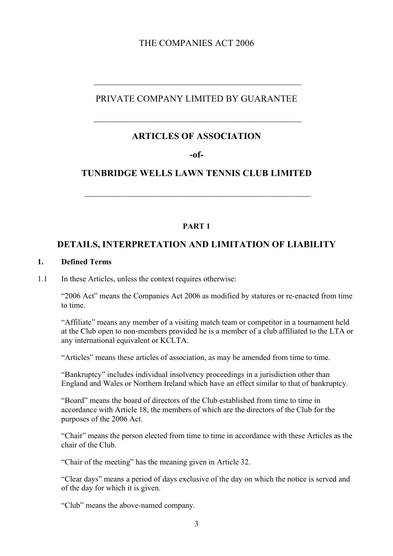# THE COMPANIES ACT 2006

# PRIVATE COMPANY LIMITED BY GUARANTEE

 $\mathcal{L}_\text{max}$  and  $\mathcal{L}_\text{max}$  and  $\mathcal{L}_\text{max}$  and  $\mathcal{L}_\text{max}$  and  $\mathcal{L}_\text{max}$ 

# **ARTICLES OF ASSOCIATION**

 $\mathcal{L}_\text{max}$  , and the set of the set of the set of the set of the set of the set of the set of the set of the set of the set of the set of the set of the set of the set of the set of the set of the set of the set of the

**-of-**

# **TUNBRIDGE WELLS LAWN TENNIS CLUB LIMITED**

 $\mathcal{L}_\text{max}$  , and the contract of the contract of the contract of the contract of the contract of the contract of the contract of the contract of the contract of the contract of the contract of the contract of the contr

#### **PART 1**

## **DETAILS, INTERPRETATION AND LIMITATION OF LIABILITY**

#### **1. Defined Terms**

1.1 In these Articles, unless the context requires otherwise:

"2006 Act" means the Companies Act 2006 as modified by statures or re-enacted from time to time.

"Affiliate" means any member of a visiting match team or competitor in a tournament held at the Club open to non-members provided he is a member of a club affiliated to the LTA or any international equivalent or KCLTA.

"Articles" means these articles of association, as may be amended from time to time.

"Bankruptcy" includes individual insolvency proceedings in a jurisdiction other than England and Wales or Northern Ireland which have an effect similar to that of bankruptcy.

"Board" means the board of directors of the Club established from time to time in accordance with Article 18, the members of which are the directors of the Club for the purposes of the 2006 Act.

"Chair" means the person elected from time to time in accordance with these Articles as the chair of the Club.

"Chair of the meeting" has the meaning given in Article 32.

"Clear days" means a period of days exclusive of the day on which the notice is served and of the day for which it is given.

"Club" means the above-named company.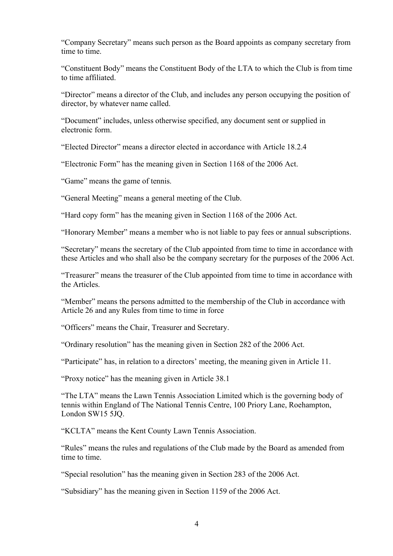"Company Secretary" means such person as the Board appoints as company secretary from time to time.

"Constituent Body" means the Constituent Body of the LTA to which the Club is from time to time affiliated.

"Director" means a director of the Club, and includes any person occupying the position of director, by whatever name called.

"Document" includes, unless otherwise specified, any document sent or supplied in electronic form.

"Elected Director" means a director elected in accordance with Article 18.2.4

"Electronic Form" has the meaning given in Section 1168 of the 2006 Act.

"Game" means the game of tennis.

"General Meeting" means a general meeting of the Club.

"Hard copy form" has the meaning given in Section 1168 of the 2006 Act.

"Honorary Member" means a member who is not liable to pay fees or annual subscriptions.

"Secretary" means the secretary of the Club appointed from time to time in accordance with these Articles and who shall also be the company secretary for the purposes of the 2006 Act.

"Treasurer" means the treasurer of the Club appointed from time to time in accordance with the Articles.

"Member" means the persons admitted to the membership of the Club in accordance with Article 26 and any Rules from time to time in force

"Officers" means the Chair, Treasurer and Secretary.

"Ordinary resolution" has the meaning given in Section 282 of the 2006 Act.

"Participate" has, in relation to a directors' meeting, the meaning given in Article 11.

"Proxy notice" has the meaning given in Article 38.1

"The LTA" means the Lawn Tennis Association Limited which is the governing body of tennis within England of The National Tennis Centre, 100 Priory Lane, Roehampton, London SW15 5JQ.

"KCLTA" means the Kent County Lawn Tennis Association.

"Rules" means the rules and regulations of the Club made by the Board as amended from time to time.

"Special resolution" has the meaning given in Section 283 of the 2006 Act.

"Subsidiary" has the meaning given in Section 1159 of the 2006 Act.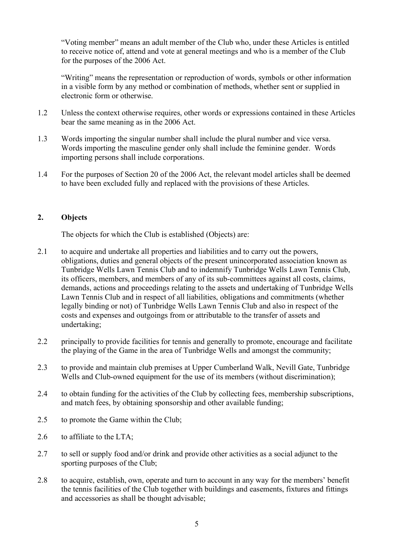"Voting member" means an adult member of the Club who, under these Articles is entitled to receive notice of, attend and vote at general meetings and who is a member of the Club for the purposes of the 2006 Act.

"Writing" means the representation or reproduction of words, symbols or other information in a visible form by any method or combination of methods, whether sent or supplied in electronic form or otherwise.

- 1.2 Unless the context otherwise requires, other words or expressions contained in these Articles bear the same meaning as in the 2006 Act.
- 1.3 Words importing the singular number shall include the plural number and vice versa. Words importing the masculine gender only shall include the feminine gender. Words importing persons shall include corporations.
- 1.4 For the purposes of Section 20 of the 2006 Act, the relevant model articles shall be deemed to have been excluded fully and replaced with the provisions of these Articles.

### **2. Objects**

The objects for which the Club is established (Objects) are:

- 2.1 to acquire and undertake all properties and liabilities and to carry out the powers, obligations, duties and general objects of the present unincorporated association known as Tunbridge Wells Lawn Tennis Club and to indemnify Tunbridge Wells Lawn Tennis Club, its officers, members, and members of any of its sub-committees against all costs, claims, demands, actions and proceedings relating to the assets and undertaking of Tunbridge Wells Lawn Tennis Club and in respect of all liabilities, obligations and commitments (whether legally binding or not) of Tunbridge Wells Lawn Tennis Club and also in respect of the costs and expenses and outgoings from or attributable to the transfer of assets and undertaking;
- 2.2 principally to provide facilities for tennis and generally to promote, encourage and facilitate the playing of the Game in the area of Tunbridge Wells and amongst the community;
- 2.3 to provide and maintain club premises at Upper Cumberland Walk, Nevill Gate, Tunbridge Wells and Club-owned equipment for the use of its members (without discrimination);
- 2.4 to obtain funding for the activities of the Club by collecting fees, membership subscriptions, and match fees, by obtaining sponsorship and other available funding;
- 2.5 to promote the Game within the Club;
- 2.6 to affiliate to the LTA;
- 2.7 to sell or supply food and/or drink and provide other activities as a social adjunct to the sporting purposes of the Club;
- 2.8 to acquire, establish, own, operate and turn to account in any way for the members' benefit the tennis facilities of the Club together with buildings and easements, fixtures and fittings and accessories as shall be thought advisable;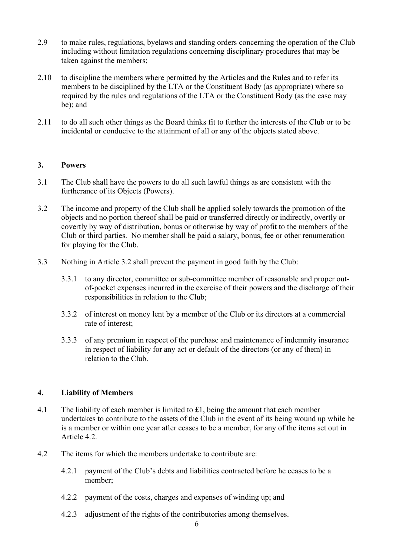- 2.9 to make rules, regulations, byelaws and standing orders concerning the operation of the Club including without limitation regulations concerning disciplinary procedures that may be taken against the members;
- 2.10 to discipline the members where permitted by the Articles and the Rules and to refer its members to be disciplined by the LTA or the Constituent Body (as appropriate) where so required by the rules and regulations of the LTA or the Constituent Body (as the case may be); and
- 2.11 to do all such other things as the Board thinks fit to further the interests of the Club or to be incidental or conducive to the attainment of all or any of the objects stated above.

### **3. Powers**

- 3.1 The Club shall have the powers to do all such lawful things as are consistent with the furtherance of its Objects (Powers).
- 3.2 The income and property of the Club shall be applied solely towards the promotion of the objects and no portion thereof shall be paid or transferred directly or indirectly, overtly or covertly by way of distribution, bonus or otherwise by way of profit to the members of the Club or third parties. No member shall be paid a salary, bonus, fee or other renumeration for playing for the Club.
- 3.3 Nothing in Article 3.2 shall prevent the payment in good faith by the Club:
	- 3.3.1 to any director, committee or sub-committee member of reasonable and proper outof-pocket expenses incurred in the exercise of their powers and the discharge of their responsibilities in relation to the Club;
	- 3.3.2 of interest on money lent by a member of the Club or its directors at a commercial rate of interest;
	- 3.3.3 of any premium in respect of the purchase and maintenance of indemnity insurance in respect of liability for any act or default of the directors (or any of them) in relation to the Club.

## **4. Liability of Members**

- 4.1 The liability of each member is limited to  $\pounds$ 1, being the amount that each member undertakes to contribute to the assets of the Club in the event of its being wound up while he is a member or within one year after ceases to be a member, for any of the items set out in Article 4.2.
- 4.2 The items for which the members undertake to contribute are:
	- 4.2.1 payment of the Club's debts and liabilities contracted before he ceases to be a member;
	- 4.2.2 payment of the costs, charges and expenses of winding up; and
	- 4.2.3 adjustment of the rights of the contributories among themselves.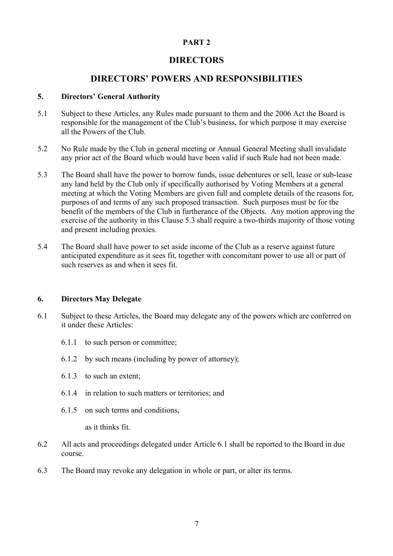## **PART 2**

# **DIRECTORS**

# **DIRECTORS' POWERS AND RESPONSIBILITIES**

## **5. Directors' General Authority**

- 5.1 Subject to these Articles, any Rules made pursuant to them and the 2006 Act the Board is responsible for the management of the Club's business, for which purpose it may exercise all the Powers of the Club.
- 5.2 No Rule made by the Club in general meeting or Annual General Meeting shall invalidate any prior act of the Board which would have been valid if such Rule had not been made.
- 5.3 The Board shall have the power to borrow funds, issue debentures or sell, lease or sub-lease any land held by the Club only if specifically authorised by Voting Members at a general meeting at which the Voting Members are given full and complete details of the reasons for, purposes of and terms of any such proposed transaction. Such purposes must be for the benefit of the members of the Club in furtherance of the Objects. Any motion approving the exercise of the authority in this Clause 5.3 shall require a two-thirds majority of those voting and present including proxies.
- 5.4 The Board shall have power to set aside income of the Club as a reserve against future anticipated expenditure as it sees fit, together with concomitant power to use all or part of such reserves as and when it sees fit.

## **6. Directors May Delegate**

- 6.1 Subject to these Articles, the Board may delegate any of the powers which are conferred on it under these Articles:
	- 6.1.1 to such person or committee;
	- 6.1.2 by such means (including by power of attorney);
	- 6.1.3 to such an extent;
	- 6.1.4 in relation to such matters or territories; and
	- 6.1.5 on such terms and conditions,

as it thinks fit.

- 6.2 All acts and proceedings delegated under Article 6.1 shall be reported to the Board in due course.
- 6.3 The Board may revoke any delegation in whole or part, or alter its terms.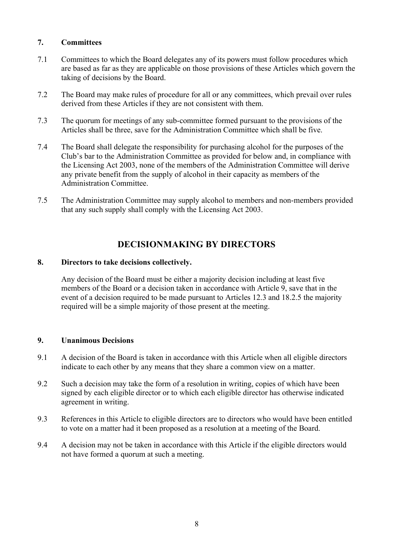### **7. Committees**

- 7.1 Committees to which the Board delegates any of its powers must follow procedures which are based as far as they are applicable on those provisions of these Articles which govern the taking of decisions by the Board.
- 7.2 The Board may make rules of procedure for all or any committees, which prevail over rules derived from these Articles if they are not consistent with them.
- 7.3 The quorum for meetings of any sub-committee formed pursuant to the provisions of the Articles shall be three, save for the Administration Committee which shall be five.
- 7.4 The Board shall delegate the responsibility for purchasing alcohol for the purposes of the Club's bar to the Administration Committee as provided for below and, in compliance with the Licensing Act 2003, none of the members of the Administration Committee will derive any private benefit from the supply of alcohol in their capacity as members of the Administration Committee.
- 7.5 The Administration Committee may supply alcohol to members and non-members provided that any such supply shall comply with the Licensing Act 2003.

# **DECISIONMAKING BY DIRECTORS**

#### **8. Directors to take decisions collectively.**

Any decision of the Board must be either a majority decision including at least five members of the Board or a decision taken in accordance with Article 9, save that in the event of a decision required to be made pursuant to Articles 12.3 and 18.2.5 the majority required will be a simple majority of those present at the meeting.

#### **9. Unanimous Decisions**

- 9.1 A decision of the Board is taken in accordance with this Article when all eligible directors indicate to each other by any means that they share a common view on a matter.
- 9.2 Such a decision may take the form of a resolution in writing, copies of which have been signed by each eligible director or to which each eligible director has otherwise indicated agreement in writing.
- 9.3 References in this Article to eligible directors are to directors who would have been entitled to vote on a matter had it been proposed as a resolution at a meeting of the Board.
- 9.4 A decision may not be taken in accordance with this Article if the eligible directors would not have formed a quorum at such a meeting.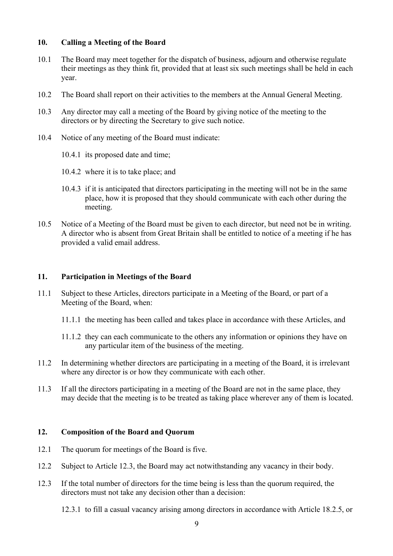#### **10. Calling a Meeting of the Board**

- 10.1 The Board may meet together for the dispatch of business, adjourn and otherwise regulate their meetings as they think fit, provided that at least six such meetings shall be held in each year.
- 10.2 The Board shall report on their activities to the members at the Annual General Meeting.
- 10.3 Any director may call a meeting of the Board by giving notice of the meeting to the directors or by directing the Secretary to give such notice.
- 10.4 Notice of any meeting of the Board must indicate:
	- 10.4.1 its proposed date and time;
	- 10.4.2 where it is to take place; and
	- 10.4.3 if it is anticipated that directors participating in the meeting will not be in the same place, how it is proposed that they should communicate with each other during the meeting.
- 10.5 Notice of a Meeting of the Board must be given to each director, but need not be in writing. A director who is absent from Great Britain shall be entitled to notice of a meeting if he has provided a valid email address.

### **11. Participation in Meetings of the Board**

- 11.1 Subject to these Articles, directors participate in a Meeting of the Board, or part of a Meeting of the Board, when:
	- 11.1.1 the meeting has been called and takes place in accordance with these Articles, and
	- 11.1.2 they can each communicate to the others any information or opinions they have on any particular item of the business of the meeting.
- 11.2 In determining whether directors are participating in a meeting of the Board, it is irrelevant where any director is or how they communicate with each other.
- 11.3 If all the directors participating in a meeting of the Board are not in the same place, they may decide that the meeting is to be treated as taking place wherever any of them is located.

#### **12. Composition of the Board and Quorum**

- 12.1 The quorum for meetings of the Board is five.
- 12.2 Subject to Article 12.3, the Board may act notwithstanding any vacancy in their body.
- 12.3 If the total number of directors for the time being is less than the quorum required, the directors must not take any decision other than a decision:

12.3.1 to fill a casual vacancy arising among directors in accordance with Article 18.2.5, or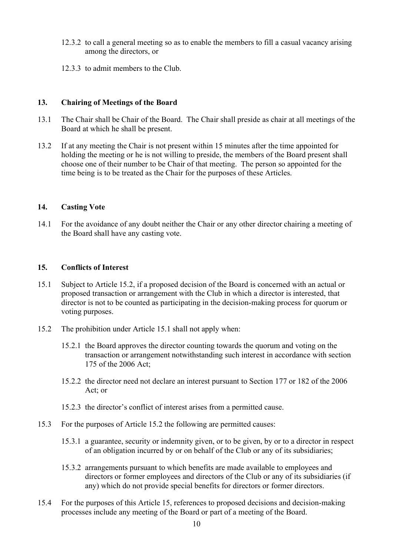- 12.3.2 to call a general meeting so as to enable the members to fill a casual vacancy arising among the directors, or
- 12.3.3 to admit members to the Club.

#### **13. Chairing of Meetings of the Board**

- 13.1 The Chair shall be Chair of the Board. The Chair shall preside as chair at all meetings of the Board at which he shall be present.
- 13.2 If at any meeting the Chair is not present within 15 minutes after the time appointed for holding the meeting or he is not willing to preside, the members of the Board present shall choose one of their number to be Chair of that meeting. The person so appointed for the time being is to be treated as the Chair for the purposes of these Articles.

### **14. Casting Vote**

14.1 For the avoidance of any doubt neither the Chair or any other director chairing a meeting of the Board shall have any casting vote.

### **15. Conflicts of Interest**

- 15.1 Subject to Article 15.2, if a proposed decision of the Board is concerned with an actual or proposed transaction or arrangement with the Club in which a director is interested, that director is not to be counted as participating in the decision-making process for quorum or voting purposes.
- 15.2 The prohibition under Article 15.1 shall not apply when:
	- 15.2.1 the Board approves the director counting towards the quorum and voting on the transaction or arrangement notwithstanding such interest in accordance with section 175 of the 2006 Act;
	- 15.2.2 the director need not declare an interest pursuant to Section 177 or 182 of the 2006 Act; or
	- 15.2.3 the director's conflict of interest arises from a permitted cause.
- 15.3 For the purposes of Article 15.2 the following are permitted causes:
	- 15.3.1 a guarantee, security or indemnity given, or to be given, by or to a director in respect of an obligation incurred by or on behalf of the Club or any of its subsidiaries;
	- 15.3.2 arrangements pursuant to which benefits are made available to employees and directors or former employees and directors of the Club or any of its subsidiaries (if any) which do not provide special benefits for directors or former directors.
- 15.4 For the purposes of this Article 15, references to proposed decisions and decision-making processes include any meeting of the Board or part of a meeting of the Board.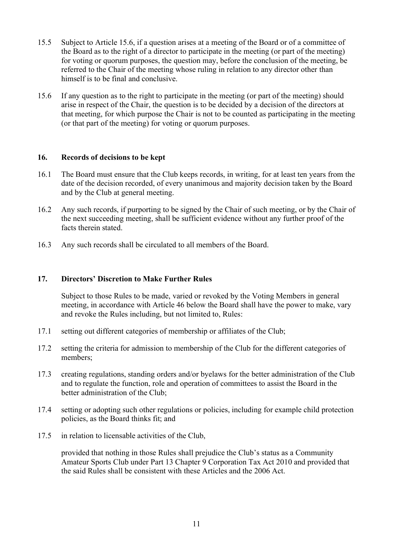- 15.5 Subject to Article 15.6, if a question arises at a meeting of the Board or of a committee of the Board as to the right of a director to participate in the meeting (or part of the meeting) for voting or quorum purposes, the question may, before the conclusion of the meeting, be referred to the Chair of the meeting whose ruling in relation to any director other than himself is to be final and conclusive.
- 15.6 If any question as to the right to participate in the meeting (or part of the meeting) should arise in respect of the Chair, the question is to be decided by a decision of the directors at that meeting, for which purpose the Chair is not to be counted as participating in the meeting (or that part of the meeting) for voting or quorum purposes.

### **16. Records of decisions to be kept**

- 16.1 The Board must ensure that the Club keeps records, in writing, for at least ten years from the date of the decision recorded, of every unanimous and majority decision taken by the Board and by the Club at general meeting.
- 16.2 Any such records, if purporting to be signed by the Chair of such meeting, or by the Chair of the next succeeding meeting, shall be sufficient evidence without any further proof of the facts therein stated.
- 16.3 Any such records shall be circulated to all members of the Board.

#### **17. Directors' Discretion to Make Further Rules**

Subject to those Rules to be made, varied or revoked by the Voting Members in general meeting, in accordance with Article 46 below the Board shall have the power to make, vary and revoke the Rules including, but not limited to, Rules:

- 17.1 setting out different categories of membership or affiliates of the Club;
- 17.2 setting the criteria for admission to membership of the Club for the different categories of members;
- 17.3 creating regulations, standing orders and/or byelaws for the better administration of the Club and to regulate the function, role and operation of committees to assist the Board in the better administration of the Club;
- 17.4 setting or adopting such other regulations or policies, including for example child protection policies, as the Board thinks fit; and
- 17.5 in relation to licensable activities of the Club,

provided that nothing in those Rules shall prejudice the Club's status as a Community Amateur Sports Club under Part 13 Chapter 9 Corporation Tax Act 2010 and provided that the said Rules shall be consistent with these Articles and the 2006 Act.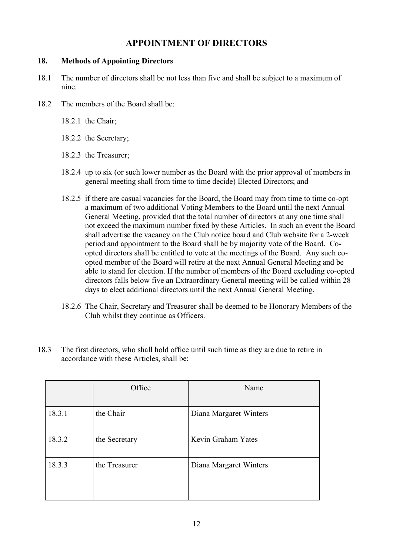# **APPOINTMENT OF DIRECTORS**

## **18. Methods of Appointing Directors**

- 18.1 The number of directors shall be not less than five and shall be subject to a maximum of nine.
- 18.2 The members of the Board shall be:
	- 18.2.1 the Chair;
	- 18.2.2 the Secretary;
	- 18.2.3 the Treasurer;
	- 18.2.4 up to six (or such lower number as the Board with the prior approval of members in general meeting shall from time to time decide) Elected Directors; and
	- 18.2.5 if there are casual vacancies for the Board, the Board may from time to time co-opt a maximum of two additional Voting Members to the Board until the next Annual General Meeting, provided that the total number of directors at any one time shall not exceed the maximum number fixed by these Articles. In such an event the Board shall advertise the vacancy on the Club notice board and Club website for a 2-week period and appointment to the Board shall be by majority vote of the Board. Coopted directors shall be entitled to vote at the meetings of the Board. Any such coopted member of the Board will retire at the next Annual General Meeting and be able to stand for election. If the number of members of the Board excluding co-opted directors falls below five an Extraordinary General meeting will be called within 28 days to elect additional directors until the next Annual General Meeting.
	- 18.2.6 The Chair, Secretary and Treasurer shall be deemed to be Honorary Members of the Club whilst they continue as Officers.
- 18.3 The first directors, who shall hold office until such time as they are due to retire in accordance with these Articles, shall be:

|        | Office        | Name                   |
|--------|---------------|------------------------|
| 18.3.1 | the Chair     | Diana Margaret Winters |
| 18.3.2 | the Secretary | Kevin Graham Yates     |
| 18.3.3 | the Treasurer | Diana Margaret Winters |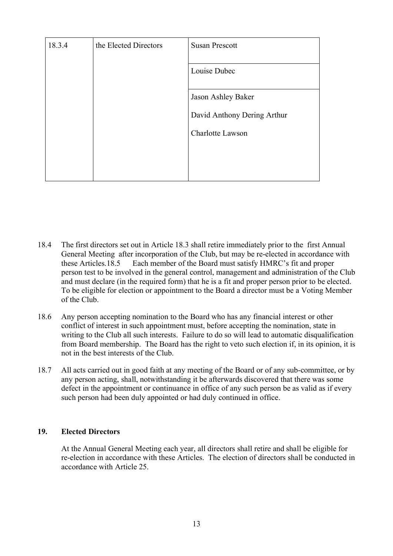| 18.3.4 | the Elected Directors | <b>Susan Prescott</b>       |
|--------|-----------------------|-----------------------------|
|        |                       | Louise Dubec                |
|        |                       | Jason Ashley Baker          |
|        |                       | David Anthony Dering Arthur |
|        |                       | Charlotte Lawson            |
|        |                       |                             |
|        |                       |                             |

- 18.4 The first directors set out in Article 18.3 shall retire immediately prior to the first Annual General Meeting after incorporation of the Club, but may be re-elected in accordance with these Articles.18.5 Each member of the Board must satisfy HMRC's fit and proper person test to be involved in the general control, management and administration of the Club and must declare (in the required form) that he is a fit and proper person prior to be elected. To be eligible for election or appointment to the Board a director must be a Voting Member of the Club.
- 18.6 Any person accepting nomination to the Board who has any financial interest or other conflict of interest in such appointment must, before accepting the nomination, state in writing to the Club all such interests. Failure to do so will lead to automatic disqualification from Board membership. The Board has the right to veto such election if, in its opinion, it is not in the best interests of the Club.
- 18.7 All acts carried out in good faith at any meeting of the Board or of any sub-committee, or by any person acting, shall, notwithstanding it be afterwards discovered that there was some defect in the appointment or continuance in office of any such person be as valid as if every such person had been duly appointed or had duly continued in office.

#### **19. Elected Directors**

At the Annual General Meeting each year, all directors shall retire and shall be eligible for re-election in accordance with these Articles. The election of directors shall be conducted in accordance with Article 25.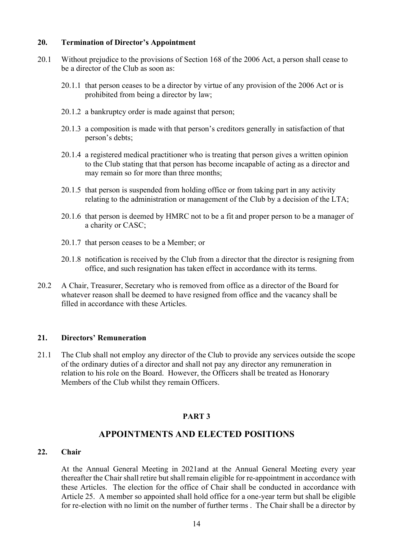#### **20. Termination of Director's Appointment**

- 20.1 Without prejudice to the provisions of Section 168 of the 2006 Act, a person shall cease to be a director of the Club as soon as:
	- 20.1.1 that person ceases to be a director by virtue of any provision of the 2006 Act or is prohibited from being a director by law;
	- 20.1.2 a bankruptcy order is made against that person;
	- 20.1.3 a composition is made with that person's creditors generally in satisfaction of that person's debts;
	- 20.1.4 a registered medical practitioner who is treating that person gives a written opinion to the Club stating that that person has become incapable of acting as a director and may remain so for more than three months;
	- 20.1.5 that person is suspended from holding office or from taking part in any activity relating to the administration or management of the Club by a decision of the LTA;
	- 20.1.6 that person is deemed by HMRC not to be a fit and proper person to be a manager of a charity or CASC;
	- 20.1.7 that person ceases to be a Member; or
	- 20.1.8 notification is received by the Club from a director that the director is resigning from office, and such resignation has taken effect in accordance with its terms.
- 20.2 A Chair, Treasurer, Secretary who is removed from office as a director of the Board for whatever reason shall be deemed to have resigned from office and the vacancy shall be filled in accordance with these Articles.

#### **21. Directors' Remuneration**

21.1 The Club shall not employ any director of the Club to provide any services outside the scope of the ordinary duties of a director and shall not pay any director any remuneration in relation to his role on the Board. However, the Officers shall be treated as Honorary Members of the Club whilst they remain Officers.

#### **PART 3**

## **APPOINTMENTS AND ELECTED POSITIONS**

## **22. Chair**

At the Annual General Meeting in 2021and at the Annual General Meeting every year thereafter the Chair shall retire but shall remain eligible for re-appointment in accordance with these Articles. The election for the office of Chair shall be conducted in accordance with Article 25. A member so appointed shall hold office for a one-year term but shall be eligible for re-election with no limit on the number of further terms . The Chair shall be a director by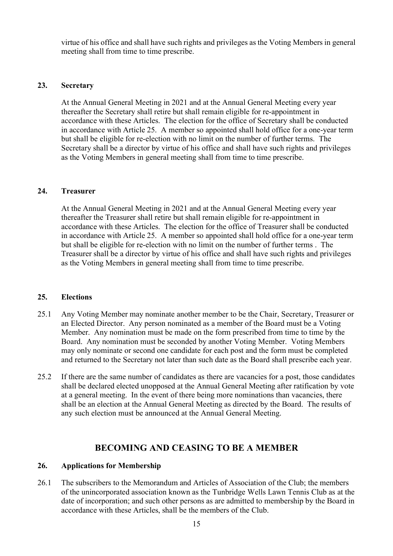virtue of his office and shall have such rights and privileges as the Voting Members in general meeting shall from time to time prescribe.

#### **23. Secretary**

At the Annual General Meeting in 2021 and at the Annual General Meeting every year thereafter the Secretary shall retire but shall remain eligible for re-appointment in accordance with these Articles. The election for the office of Secretary shall be conducted in accordance with Article 25. A member so appointed shall hold office for a one-year term but shall be eligible for re-election with no limit on the number of further terms. The Secretary shall be a director by virtue of his office and shall have such rights and privileges as the Voting Members in general meeting shall from time to time prescribe.

### **24. Treasurer**

At the Annual General Meeting in 2021 and at the Annual General Meeting every year thereafter the Treasurer shall retire but shall remain eligible for re-appointment in accordance with these Articles. The election for the office of Treasurer shall be conducted in accordance with Article 25. A member so appointed shall hold office for a one-year term but shall be eligible for re-election with no limit on the number of further terms . The Treasurer shall be a director by virtue of his office and shall have such rights and privileges as the Voting Members in general meeting shall from time to time prescribe.

#### **25. Elections**

- 25.1 Any Voting Member may nominate another member to be the Chair, Secretary, Treasurer or an Elected Director. Any person nominated as a member of the Board must be a Voting Member. Any nomination must be made on the form prescribed from time to time by the Board. Any nomination must be seconded by another Voting Member. Voting Members may only nominate or second one candidate for each post and the form must be completed and returned to the Secretary not later than such date as the Board shall prescribe each year.
- 25.2 If there are the same number of candidates as there are vacancies for a post, those candidates shall be declared elected unopposed at the Annual General Meeting after ratification by vote at a general meeting. In the event of there being more nominations than vacancies, there shall be an election at the Annual General Meeting as directed by the Board. The results of any such election must be announced at the Annual General Meeting.

# **BECOMING AND CEASING TO BE A MEMBER**

#### **26. Applications for Membership**

26.1 The subscribers to the Memorandum and Articles of Association of the Club; the members of the unincorporated association known as the Tunbridge Wells Lawn Tennis Club as at the date of incorporation; and such other persons as are admitted to membership by the Board in accordance with these Articles, shall be the members of the Club.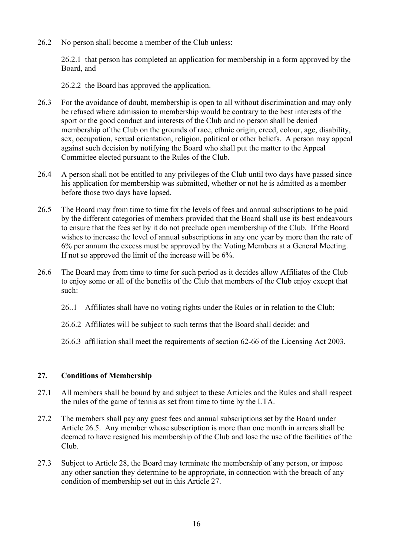26.2 No person shall become a member of the Club unless:

26.2.1 that person has completed an application for membership in a form approved by the Board, and

26.2.2 the Board has approved the application.

- 26.3 For the avoidance of doubt, membership is open to all without discrimination and may only be refused where admission to membership would be contrary to the best interests of the sport or the good conduct and interests of the Club and no person shall be denied membership of the Club on the grounds of race, ethnic origin, creed, colour, age, disability, sex, occupation, sexual orientation, religion, political or other beliefs. A person may appeal against such decision by notifying the Board who shall put the matter to the Appeal Committee elected pursuant to the Rules of the Club.
- 26.4 A person shall not be entitled to any privileges of the Club until two days have passed since his application for membership was submitted, whether or not he is admitted as a member before those two days have lapsed.
- 26.5 The Board may from time to time fix the levels of fees and annual subscriptions to be paid by the different categories of members provided that the Board shall use its best endeavours to ensure that the fees set by it do not preclude open membership of the Club. If the Board wishes to increase the level of annual subscriptions in any one year by more than the rate of 6% per annum the excess must be approved by the Voting Members at a General Meeting. If not so approved the limit of the increase will be 6%.
- 26.6 The Board may from time to time for such period as it decides allow Affiliates of the Club to enjoy some or all of the benefits of the Club that members of the Club enjoy except that such:
	- 26..1 Affiliates shall have no voting rights under the Rules or in relation to the Club;
	- 26.6.2 Affiliates will be subject to such terms that the Board shall decide; and
	- 26.6.3 affiliation shall meet the requirements of section 62-66 of the Licensing Act 2003.

#### **27. Conditions of Membership**

- 27.1 All members shall be bound by and subject to these Articles and the Rules and shall respect the rules of the game of tennis as set from time to time by the LTA.
- 27.2 The members shall pay any guest fees and annual subscriptions set by the Board under Article 26.5. Any member whose subscription is more than one month in arrears shall be deemed to have resigned his membership of the Club and lose the use of the facilities of the Club.
- 27.3 Subject to Article 28, the Board may terminate the membership of any person, or impose any other sanction they determine to be appropriate, in connection with the breach of any condition of membership set out in this Article 27.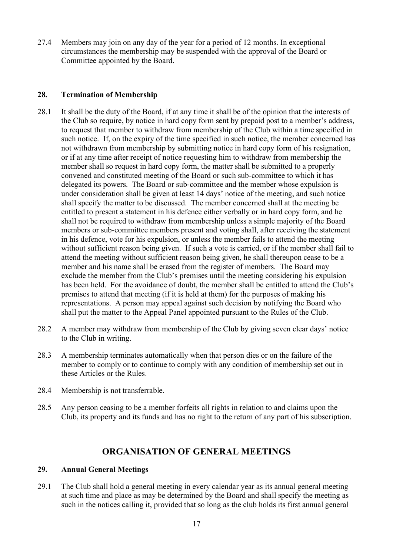27.4 Members may join on any day of the year for a period of 12 months. In exceptional circumstances the membership may be suspended with the approval of the Board or Committee appointed by the Board.

### **28. Termination of Membership**

- 28.1 It shall be the duty of the Board, if at any time it shall be of the opinion that the interests of the Club so require, by notice in hard copy form sent by prepaid post to a member's address, to request that member to withdraw from membership of the Club within a time specified in such notice. If, on the expiry of the time specified in such notice, the member concerned has not withdrawn from membership by submitting notice in hard copy form of his resignation, or if at any time after receipt of notice requesting him to withdraw from membership the member shall so request in hard copy form, the matter shall be submitted to a properly convened and constituted meeting of the Board or such sub-committee to which it has delegated its powers. The Board or sub-committee and the member whose expulsion is under consideration shall be given at least 14 days' notice of the meeting, and such notice shall specify the matter to be discussed. The member concerned shall at the meeting be entitled to present a statement in his defence either verbally or in hard copy form, and he shall not be required to withdraw from membership unless a simple majority of the Board members or sub-committee members present and voting shall, after receiving the statement in his defence, vote for his expulsion, or unless the member fails to attend the meeting without sufficient reason being given. If such a vote is carried, or if the member shall fail to attend the meeting without sufficient reason being given, he shall thereupon cease to be a member and his name shall be erased from the register of members. The Board may exclude the member from the Club's premises until the meeting considering his expulsion has been held. For the avoidance of doubt, the member shall be entitled to attend the Club's premises to attend that meeting (if it is held at them) for the purposes of making his representations. A person may appeal against such decision by notifying the Board who shall put the matter to the Appeal Panel appointed pursuant to the Rules of the Club.
- 28.2 A member may withdraw from membership of the Club by giving seven clear days' notice to the Club in writing.
- 28.3 A membership terminates automatically when that person dies or on the failure of the member to comply or to continue to comply with any condition of membership set out in these Articles or the Rules.
- 28.4 Membership is not transferrable.
- 28.5 Any person ceasing to be a member forfeits all rights in relation to and claims upon the Club, its property and its funds and has no right to the return of any part of his subscription.

# **ORGANISATION OF GENERAL MEETINGS**

## **29. Annual General Meetings**

29.1 The Club shall hold a general meeting in every calendar year as its annual general meeting at such time and place as may be determined by the Board and shall specify the meeting as such in the notices calling it, provided that so long as the club holds its first annual general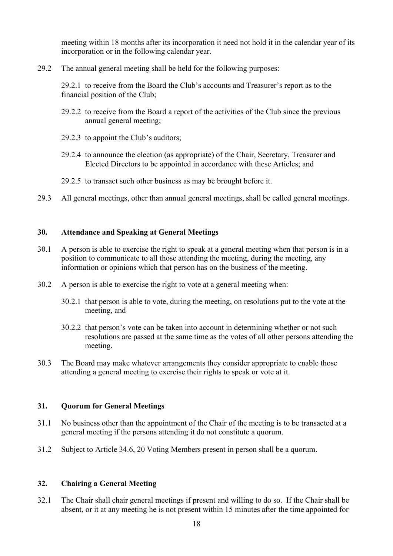meeting within 18 months after its incorporation it need not hold it in the calendar year of its incorporation or in the following calendar year.

29.2 The annual general meeting shall be held for the following purposes:

29.2.1 to receive from the Board the Club's accounts and Treasurer's report as to the financial position of the Club;

- 29.2.2 to receive from the Board a report of the activities of the Club since the previous annual general meeting;
- 29.2.3 to appoint the Club's auditors;
- 29.2.4 to announce the election (as appropriate) of the Chair, Secretary, Treasurer and Elected Directors to be appointed in accordance with these Articles; and
- 29.2.5 to transact such other business as may be brought before it.
- 29.3 All general meetings, other than annual general meetings, shall be called general meetings.

### **30. Attendance and Speaking at General Meetings**

- 30.1 A person is able to exercise the right to speak at a general meeting when that person is in a position to communicate to all those attending the meeting, during the meeting, any information or opinions which that person has on the business of the meeting.
- 30.2 A person is able to exercise the right to vote at a general meeting when:
	- 30.2.1 that person is able to vote, during the meeting, on resolutions put to the vote at the meeting, and
	- 30.2.2 that person's vote can be taken into account in determining whether or not such resolutions are passed at the same time as the votes of all other persons attending the meeting.
- 30.3 The Board may make whatever arrangements they consider appropriate to enable those attending a general meeting to exercise their rights to speak or vote at it.

#### **31. Quorum for General Meetings**

- 31.1 No business other than the appointment of the Chair of the meeting is to be transacted at a general meeting if the persons attending it do not constitute a quorum.
- 31.2 Subject to Article 34.6, 20 Voting Members present in person shall be a quorum.

## **32. Chairing a General Meeting**

32.1 The Chair shall chair general meetings if present and willing to do so. If the Chair shall be absent, or it at any meeting he is not present within 15 minutes after the time appointed for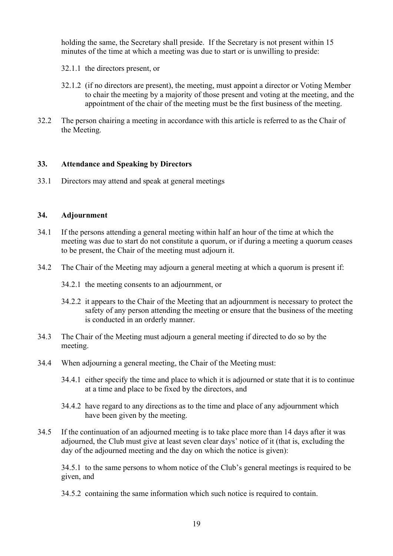holding the same, the Secretary shall preside. If the Secretary is not present within 15 minutes of the time at which a meeting was due to start or is unwilling to preside:

- 32.1.1 the directors present, or
- 32.1.2 (if no directors are present), the meeting, must appoint a director or Voting Member to chair the meeting by a majority of those present and voting at the meeting, and the appointment of the chair of the meeting must be the first business of the meeting.
- 32.2 The person chairing a meeting in accordance with this article is referred to as the Chair of the Meeting.

#### **33. Attendance and Speaking by Directors**

33.1 Directors may attend and speak at general meetings

#### **34. Adjournment**

- 34.1 If the persons attending a general meeting within half an hour of the time at which the meeting was due to start do not constitute a quorum, or if during a meeting a quorum ceases to be present, the Chair of the meeting must adjourn it.
- 34.2 The Chair of the Meeting may adjourn a general meeting at which a quorum is present if:
	- 34.2.1 the meeting consents to an adjournment, or
	- 34.2.2 it appears to the Chair of the Meeting that an adjournment is necessary to protect the safety of any person attending the meeting or ensure that the business of the meeting is conducted in an orderly manner.
- 34.3 The Chair of the Meeting must adjourn a general meeting if directed to do so by the meeting.
- 34.4 When adjourning a general meeting, the Chair of the Meeting must:
	- 34.4.1 either specify the time and place to which it is adjourned or state that it is to continue at a time and place to be fixed by the directors, and
	- 34.4.2 have regard to any directions as to the time and place of any adjournment which have been given by the meeting.
- 34.5 If the continuation of an adjourned meeting is to take place more than 14 days after it was adjourned, the Club must give at least seven clear days' notice of it (that is, excluding the day of the adjourned meeting and the day on which the notice is given):

34.5.1 to the same persons to whom notice of the Club's general meetings is required to be given, and

34.5.2 containing the same information which such notice is required to contain.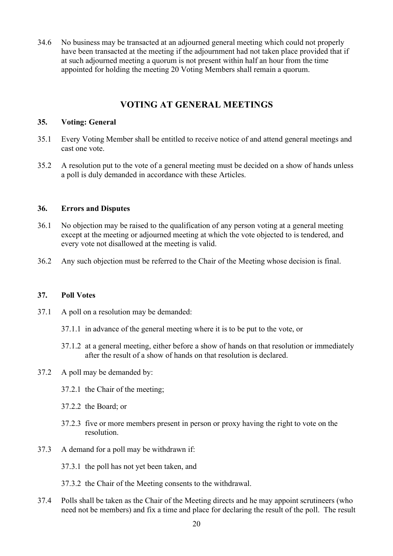34.6 No business may be transacted at an adjourned general meeting which could not properly have been transacted at the meeting if the adjournment had not taken place provided that if at such adjourned meeting a quorum is not present within half an hour from the time appointed for holding the meeting 20 Voting Members shall remain a quorum.

# **VOTING AT GENERAL MEETINGS**

### **35. Voting: General**

- 35.1 Every Voting Member shall be entitled to receive notice of and attend general meetings and cast one vote.
- 35.2 A resolution put to the vote of a general meeting must be decided on a show of hands unless a poll is duly demanded in accordance with these Articles.

### **36. Errors and Disputes**

- 36.1 No objection may be raised to the qualification of any person voting at a general meeting except at the meeting or adjourned meeting at which the vote objected to is tendered, and every vote not disallowed at the meeting is valid.
- 36.2 Any such objection must be referred to the Chair of the Meeting whose decision is final.

#### **37. Poll Votes**

- 37.1 A poll on a resolution may be demanded:
	- 37.1.1 in advance of the general meeting where it is to be put to the vote, or
	- 37.1.2 at a general meeting, either before a show of hands on that resolution or immediately after the result of a show of hands on that resolution is declared.
- 37.2 A poll may be demanded by:
	- 37.2.1 the Chair of the meeting;
	- 37.2.2 the Board; or
	- 37.2.3 five or more members present in person or proxy having the right to vote on the resolution.
- 37.3 A demand for a poll may be withdrawn if:
	- 37.3.1 the poll has not yet been taken, and
	- 37.3.2 the Chair of the Meeting consents to the withdrawal.
- 37.4 Polls shall be taken as the Chair of the Meeting directs and he may appoint scrutineers (who need not be members) and fix a time and place for declaring the result of the poll. The result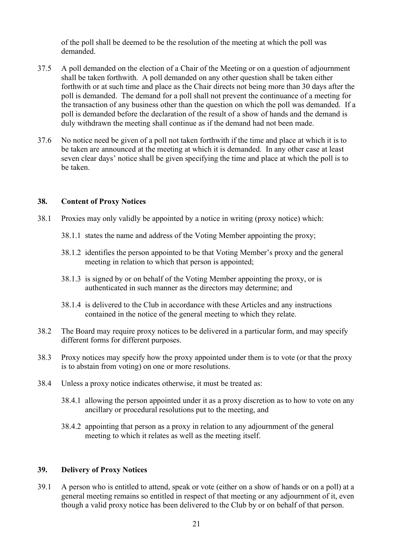of the poll shall be deemed to be the resolution of the meeting at which the poll was demanded.

- 37.5 A poll demanded on the election of a Chair of the Meeting or on a question of adjournment shall be taken forthwith. A poll demanded on any other question shall be taken either forthwith or at such time and place as the Chair directs not being more than 30 days after the poll is demanded. The demand for a poll shall not prevent the continuance of a meeting for the transaction of any business other than the question on which the poll was demanded. If a poll is demanded before the declaration of the result of a show of hands and the demand is duly withdrawn the meeting shall continue as if the demand had not been made.
- 37.6 No notice need be given of a poll not taken forthwith if the time and place at which it is to be taken are announced at the meeting at which it is demanded. In any other case at least seven clear days' notice shall be given specifying the time and place at which the poll is to be taken.

## **38. Content of Proxy Notices**

- 38.1 Proxies may only validly be appointed by a notice in writing (proxy notice) which:
	- 38.1.1 states the name and address of the Voting Member appointing the proxy;
	- 38.1.2 identifies the person appointed to be that Voting Member's proxy and the general meeting in relation to which that person is appointed;
	- 38.1.3 is signed by or on behalf of the Voting Member appointing the proxy, or is authenticated in such manner as the directors may determine; and
	- 38.1.4 is delivered to the Club in accordance with these Articles and any instructions contained in the notice of the general meeting to which they relate.
- 38.2 The Board may require proxy notices to be delivered in a particular form, and may specify different forms for different purposes.
- 38.3 Proxy notices may specify how the proxy appointed under them is to vote (or that the proxy is to abstain from voting) on one or more resolutions.
- 38.4 Unless a proxy notice indicates otherwise, it must be treated as:
	- 38.4.1 allowing the person appointed under it as a proxy discretion as to how to vote on any ancillary or procedural resolutions put to the meeting, and
	- 38.4.2 appointing that person as a proxy in relation to any adjournment of the general meeting to which it relates as well as the meeting itself.

#### **39. Delivery of Proxy Notices**

39.1 A person who is entitled to attend, speak or vote (either on a show of hands or on a poll) at a general meeting remains so entitled in respect of that meeting or any adjournment of it, even though a valid proxy notice has been delivered to the Club by or on behalf of that person.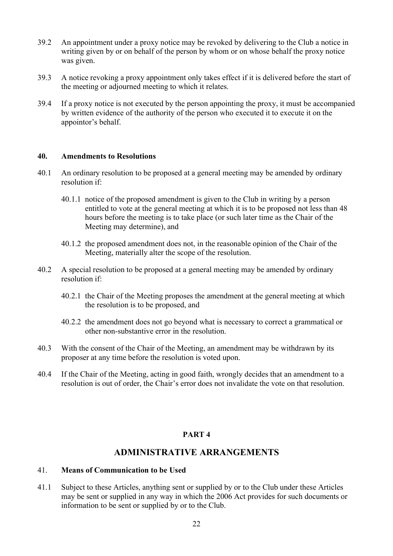- 39.2 An appointment under a proxy notice may be revoked by delivering to the Club a notice in writing given by or on behalf of the person by whom or on whose behalf the proxy notice was given.
- 39.3 A notice revoking a proxy appointment only takes effect if it is delivered before the start of the meeting or adjourned meeting to which it relates.
- 39.4 If a proxy notice is not executed by the person appointing the proxy, it must be accompanied by written evidence of the authority of the person who executed it to execute it on the appointor's behalf.

#### **40. Amendments to Resolutions**

- 40.1 An ordinary resolution to be proposed at a general meeting may be amended by ordinary resolution if:
	- 40.1.1 notice of the proposed amendment is given to the Club in writing by a person entitled to vote at the general meeting at which it is to be proposed not less than 48 hours before the meeting is to take place (or such later time as the Chair of the Meeting may determine), and
	- 40.1.2 the proposed amendment does not, in the reasonable opinion of the Chair of the Meeting, materially alter the scope of the resolution.
- 40.2 A special resolution to be proposed at a general meeting may be amended by ordinary resolution if:
	- 40.2.1 the Chair of the Meeting proposes the amendment at the general meeting at which the resolution is to be proposed, and
	- 40.2.2 the amendment does not go beyond what is necessary to correct a grammatical or other non-substantive error in the resolution.
- 40.3 With the consent of the Chair of the Meeting, an amendment may be withdrawn by its proposer at any time before the resolution is voted upon.
- 40.4 If the Chair of the Meeting, acting in good faith, wrongly decides that an amendment to a resolution is out of order, the Chair's error does not invalidate the vote on that resolution.

## **PART 4**

# **ADMINISTRATIVE ARRANGEMENTS**

#### 41. **Means of Communication to be Used**

41.1 Subject to these Articles, anything sent or supplied by or to the Club under these Articles may be sent or supplied in any way in which the 2006 Act provides for such documents or information to be sent or supplied by or to the Club.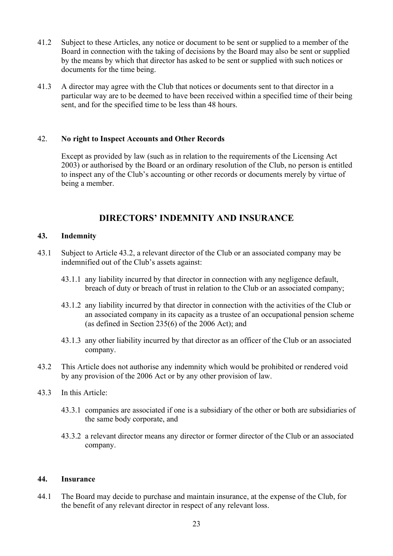- 41.2 Subject to these Articles, any notice or document to be sent or supplied to a member of the Board in connection with the taking of decisions by the Board may also be sent or supplied by the means by which that director has asked to be sent or supplied with such notices or documents for the time being.
- 41.3 A director may agree with the Club that notices or documents sent to that director in a particular way are to be deemed to have been received within a specified time of their being sent, and for the specified time to be less than 48 hours.

#### 42. **No right to Inspect Accounts and Other Records**

Except as provided by law (such as in relation to the requirements of the Licensing Act 2003) or authorised by the Board or an ordinary resolution of the Club, no person is entitled to inspect any of the Club's accounting or other records or documents merely by virtue of being a member.

# **DIRECTORS' INDEMNITY AND INSURANCE**

#### **43. Indemnity**

- 43.1 Subject to Article 43.2, a relevant director of the Club or an associated company may be indemnified out of the Club's assets against:
	- 43.1.1 any liability incurred by that director in connection with any negligence default, breach of duty or breach of trust in relation to the Club or an associated company;
	- 43.1.2 any liability incurred by that director in connection with the activities of the Club or an associated company in its capacity as a trustee of an occupational pension scheme (as defined in Section 235(6) of the 2006 Act); and
	- 43.1.3 any other liability incurred by that director as an officer of the Club or an associated company.
- 43.2 This Article does not authorise any indemnity which would be prohibited or rendered void by any provision of the 2006 Act or by any other provision of law.
- 43.3 In this Article:
	- 43.3.1 companies are associated if one is a subsidiary of the other or both are subsidiaries of the same body corporate, and
	- 43.3.2 a relevant director means any director or former director of the Club or an associated company.

#### **44. Insurance**

44.1 The Board may decide to purchase and maintain insurance, at the expense of the Club, for the benefit of any relevant director in respect of any relevant loss.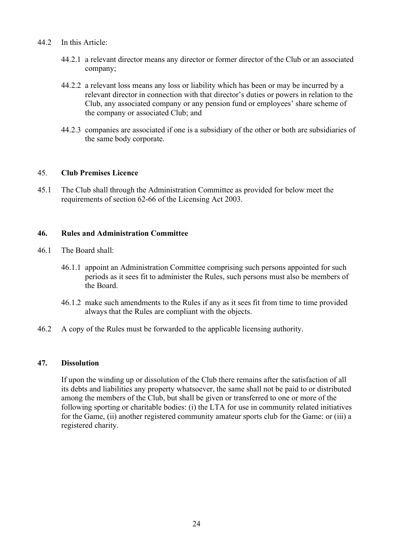#### 44.2 In this Article:

- 44.2.1 a relevant director means any director or former director of the Club or an associated company;
- 44.2.2 a relevant loss means any loss or liability which has been or may be incurred by a relevant director in connection with that director's duties or powers in relation to the Club, any associated company or any pension fund or employees' share scheme of the company or associated Club; and
- 44.2.3 companies are associated if one is a subsidiary of the other or both are subsidiaries of the same body corporate.

#### 45. **Club Premises Licence**

45.1 The Club shall through the Administration Committee as provided for below meet the requirements of section 62-66 of the Licensing Act 2003.

#### **46. Rules and Administration Committee**

- 46.1 The Board shall:
	- 46.1.1 appoint an Administration Committee comprising such persons appointed for such periods as it sees fit to administer the Rules, such persons must also be members of the Board.
	- 46.1.2 make such amendments to the Rules if any as it sees fit from time to time provided always that the Rules are compliant with the objects.
- 46.2 A copy of the Rules must be forwarded to the applicable licensing authority.

#### **47. Dissolution**

If upon the winding up or dissolution of the Club there remains after the satisfaction of all its debts and liabilities any property whatsoever, the same shall not be paid to or distributed among the members of the Club, but shall be given or transferred to one or more of the following sporting or charitable bodies: (i) the LTA for use in community related initiatives for the Game, (ii) another registered community amateur sports club for the Game: or (iii) a registered charity.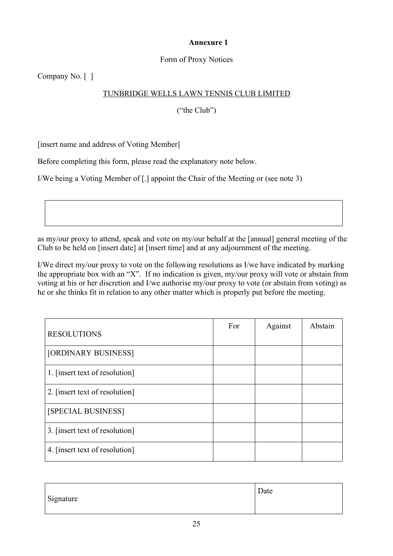## **Annexure 1**

## Form of Proxy Notices

Company No. [ ]

# TUNBRIDGE WELLS LAWN TENNIS CLUB LIMITED

("the Club")

[insert name and address of Voting Member]

Before completing this form, please read the explanatory note below.

I/We being a Voting Member of [.] appoint the Chair of the Meeting or (see note 3)

as my/our proxy to attend, speak and vote on my/our behalf at the [annual] general meeting of the Club to be held on [insert date] at [insert time] and at any adjournment of the meeting.

I/We direct my/our proxy to vote on the following resolutions as I/we have indicated by marking the appropriate box with an "X". If no indication is given, my/our proxy will vote or abstain from voting at his or her discretion and I/we authorise my/our proxy to vote (or abstain from voting) as he or she thinks fit in relation to any other matter which is properly put before the meeting.

| <b>RESOLUTIONS</b>             | For | Against | Abstain |
|--------------------------------|-----|---------|---------|
| [ORDINARY BUSINESS]            |     |         |         |
| 1. [insert text of resolution] |     |         |         |
| 2. [insert text of resolution] |     |         |         |
| [SPECIAL BUSINESS]             |     |         |         |
| 3. [insert text of resolution] |     |         |         |
| 4. [insert text of resolution] |     |         |         |

| Signature | Date |
|-----------|------|
|           |      |